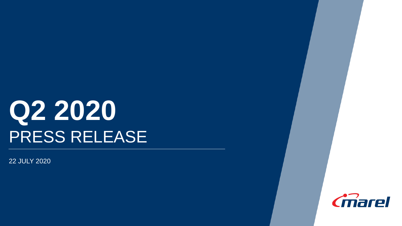# **Q2 2020** PRESS RELEASE

22 JULY 2020

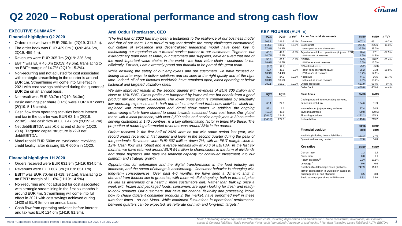

### **Q2 2020 – Robust operational performance and strong cash flow**

#### **EXECUTIVE SUMMARY**

#### **Financial highlights Q2 2020**

- Orders received were EUR 280.1m (2Q19: 311.2m).
- The order book was EUR 439.0m (1Q20: 464.6m, 2Q19: 459.4m).
- Revenues were EUR 305.7m (2Q19: 326.5m).
- EBIT\* was EUR 45.0m (2Q19: 49.6m), translating to an EBIT\* margin of 14.7% (2Q19: 15.2%).
- Non-recurring and not adjusted for cost associated with strategic streamlining in the quarter is around EUR 1m. Streamlining will come into full effect in 2021 with cost savings achieved during the quarter of EUR 2m on an annual basis.
- Net result was EUR 30.7m (2Q19: 34.3m).
- Basic earnings per share (EPS) were EUR 4.07 cents (2Q19: 5.16 cents).
- Cash flow from operating activities before interest and tax in the quarter was EUR 63.1m (2Q19: 22.3m). Free cash flow at EUR 47.6m (2Q19: -1.7m).
- Net debt/EBITDA was x0.6 at end of June (1Q20: x0.4). Targeted capital structure is x2-3 net debt/EBITDA.
- Marel repaid EUR 500m on syndicated revolving credit facility, after drawing EUR 600m in 1Q20.

#### **Financial highlights 1H 2020**

- Orders received were EUR 631.9m (1H19: 634.5m).
- Revenues were EUR 607.3m (1H19: 651.1m).
- EBIT\* was EUR 70.4m (1H19: 97.1m), translating to an EBIT\* margin of 11.6% (1H19: 14.9%).
- Non-recurring and not adjusted for cost associated with strategic streamlining in the first six months is around EUR 4m. Streamlining will come into full effect in 2021 with cost savings achieved during 1H20 of EUR 8m on an annual basis.
- Cash flow from operating activities before interest and tax was EUR 124.6m (1H19: 81.9m).

#### **Arni Oddur Thordarson, CEO**

*"The first half of 2020 has truly been a testament to the resilience of our business model and that of our team. I am proud to say that despite the many challenges encountered, our culture of excellence and decentralized leadership model have been key to maintaining our reputation as a trusted service partner to our customers. Together, our extraordinary team here at Marel, our customers and suppliers, have ensured that one of the most important value chains in the world - the food value chain - continues to run efficiently. For this, I am extremely proud and thankful to be part of this great team.*

*While ensuring the safety of our employees and our customers, we have focused on finding smarter ways to deliver solutions and services at the right quality and at the right time. Indeed, all of our factories worldwide have remained open, albeit operating at below historical and targeted utilization rates.*

*We saw improved results in the second quarter with revenues of EUR 306 million and close to 15% EBIT. Gross profits are hampered by lower volume but benefit from a good product mix and project execution. The lower gross profit is compensated by unusually low operating expenses that is both due to less travel and tradeshow activities which are replaced with remote connection and virtual show rooms. In addition, the ongoing streamlining efforts have started to count towards sustained lower cost base. Our global reach with a local presence, with over 2,500 sales and service employees in 30 countries serving customers in 140 countries, is a key differentiating factor in times like these. The proportion of recurring aftermarket revenues was around 38% in the quarter.*

*Orders received in the first half of 2020 were on par with same period last year, with record orders received in first quarter and lower in the second quarter during the peak of the pandemic. Revenues were EUR 607 million, down 7%, with an EBIT margin close to 12%. Cash flow was robust and leverage remains low at x0.6 of EBITDA. In the last six months, we have returned around EUR 94 million to shareholders in the form of dividends and share buybacks and have the financial capacity for continued investment into our platform and strategic growth.*

*Opportunities for automation and the digital transformation in the food industry are immense, and the speed of change is accelerating. Consumer behavior is changing with long-term consequences. Over past 4-6 months, we have seen a dynamic shift in demand from foodservice to groceries, with more mindful shopping, both in terms of price as well as awareness of a healthy, more sustainable diet. Rather than bulk up once a week with frozen and packaged foods, consumers are again looking for fresh and readyto-cook products. Our customers, that have the channel flexibility and processing knowhow to chase different consumer products in the market, have performed well in these turbulent times - so has Marel. While continued fluctuations in operational performance between quarters can be expected, we reiterate our mid- and long-term targets."*

#### **KEY FIGURES** (EUR m)

| <b>2Q20</b>    | 2Q19           | $\Delta$ YoY | As per financial statements                             | 6M20          | 6M19           | $\Delta$ YoY |
|----------------|----------------|--------------|---------------------------------------------------------|---------------|----------------|--------------|
| 305.7          | 326.5          | $-6.4%$      | Revenues                                                | 607.3         | 651.1          | $-6.7%$      |
| 114.2          | 130.2          |              | -12.3% Gross profit                                     | 221.5         | 255.6          | $-13.3%$     |
| 37.4%          | 39.9%          |              | Gross profit as a % of revenues                         | 36.5%         | 39.3%          |              |
| 45.0           | 49.6           |              | -9.3% Adjusted result from operations (Adjusted EBIT)   | 70.4          | 97.1           | $-27.5%$     |
| 14.7%          | 15.2%          |              | EBIT* as a % of revenues                                | 11.6%         | 14.9%          |              |
| 56.9           | 61.1           |              | -6.9% EBITDA                                            | 94.5          | 120.2          | $-21.4%$     |
| 18.6%          | 18.7%          |              | EBITDA as a % of revenues                               | 15.6%         | 18.5%          |              |
| (2.6)          | (2.7)          |              | PPA related costs                                       | (5.2)         | (5.3)          |              |
| 42.4           | 46.9           | $-9.6%$      | Result from operations (EBIT)                           | 65.2          | 91.8           | $-29.0%$     |
| 13.9%          | 14.4%          |              | EBIT as a % of revenues                                 | 10.7%         | 14.1%          |              |
| 30.7           | 34.3           | -10.5%       | Net result                                              | 44.1          | 66.5           | $-33.7%$     |
| 10.0%<br>280.1 | 10.5%<br>311.2 | $-10.0\%$    | Net result as a % of revenues<br><b>Orders Received</b> | 7.3%<br>631.9 | 10.2%<br>634.5 | $-0.4%$      |
|                |                |              | Order Book                                              | 439.0         | 459.4          | $-4.4%$      |
|                |                |              |                                                         |               |                |              |
| <b>2Q20</b>    | 2Q19           |              | Cash flows                                              | 6M20          | 6M19           |              |
|                |                |              | Cash generated from operating activities,               |               |                |              |
| 63.1           | 22.3           |              | before interest & tax                                   | 124.6         | 81.9           |              |
|                |                |              |                                                         |               |                |              |
| 53.4           | 2.2            |              | Net cash from (to) operating activities                 | 97.4          | 54.5           |              |
| (10.3)         | (9.8)          |              | Investing activities                                    | (20.8)        | (20.6)         |              |
| (584.0)        | 234.9          |              | Financing activities                                    | (222.2)       | 185.3          |              |
| (540.9)        | 227.3          |              | Net cash flow                                           | (145.6)       | 219.2          |              |
|                |                |              |                                                         | 30/06         | 31/12          |              |
|                |                |              | <b>Financial position</b>                               | 2020          | 2019           |              |
|                |                |              |                                                         |               |                |              |
|                |                |              | Net Debt (Including Lease liabilities)                  | 121.3         | 97.6           |              |
|                |                |              | Operational working capital <sup>1)</sup>               | 37.8          | 64.0           |              |
|                |                |              | <b>Key ratios</b>                                       | 6M20          | 6M19           |              |
|                |                |              |                                                         |               |                |              |
|                |                |              | Current ratio                                           | 1.2           | 1.4            |              |
|                |                |              | Quick ratio                                             | 0.8           | 1.1            |              |
|                |                |              | Return on equity <sup>2)</sup>                          | 9.5%          | 18.1%          |              |
|                |                |              | Leverage <sup>3)</sup>                                  | 0.6           | 0.6            |              |
|                |                |              | Number of outstanding shares (millions)                 | 747.9         | 759.9          |              |
|                |                |              | Market capitalization in EUR billion based on           |               |                |              |
|                |                |              | exchange rate at end of period                          | 3.5           | 3.0            |              |
|                |                |              | Basic earnings per share in EUR cents                   | 5.82          | 9.86           |              |
|                |                |              |                                                         |               |                |              |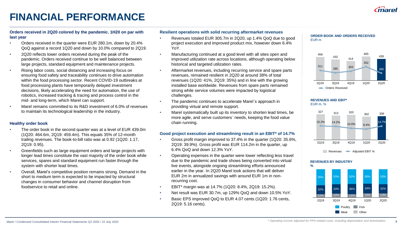

# **FINANCIAL PERFORMANCE**

#### **Orders received in 2Q20 colored by the pandemic. 1H20 on par with last year**

- Orders received in the quarter were EUR 280.1m, down by 20.4% QoQ against a record 1Q20 and down by 10.0% compared to 2Q19.
- 2Q20 reflects lower orders received during the peak of the pandemic. Orders received continue to be well balanced between large projects, standard equipment and maintenance projects.
- Rising labor costs, social distancing and increasing focus on ensuring food safety and traceability continues to drive automation within the food processing sector. Recent COVID-19 outbreaks at food processing plants have temporarily delayed investment decisions, likely accelerating the need for automation, the use of robotics, increased tracking & tracing and process control in the mid- and long-term, which Marel can support.
- Marel remains committed to its R&D investment of 6.0% of revenues to maintain its technological leadership in the industry.

#### **Healthy order book**

- The order book in the second quarter was at a level of EUR 439.0m (1Q20: 464.6m, 2Q19: 459.4m). This equals 35% of 12-month trailing revenues. The book-to-bill ratio was at 0.92 (1Q20: 1.17, 2Q19: 0.95).
- Greenfields such as large equipment orders and large projects with longer lead times constitute the vast majority of the order book while services, spares and standard equipment run faster through the system with shorter lead times.
- Overall, Marel's competitive position remains strong. Demand in the short to medium term is expected to be impacted by structural changes in consumer behavior and channel disruption from foodservice to retail and online.

#### **Resilient operations with solid recurring aftermarket revenues**

- Revenues totaled EUR 305.7m in 2Q20, up 1.4% QoQ due to good project execution and improved product mix, however down 6.4% YoY.
- Manufacturing continued at a good level with all sites open and improved utilization rate across locations, although operating below historical and targeted utilization rates.
- Aftermarket revenues, including recurring service and spare parts revenues, remained resilient in 2Q20 at around 38% of total revenues (1Q20: 41%, 2Q19: 35%) and in line with the growing installed base worldwide. Revenues from spare parts remained strong while service volumes were impacted by logistical challenges.
- The pandemic continues to accelerate Marel´s approach in providing virtual and remote support.
- Marel systematically built up its inventory to shorten lead times, be more agile, and serve customers´ needs, keeping the food value chain running.

#### **Good project execution and streamlining result in an EBIT\* of 14.7%**

- Gross profit margin improved to 37.4% in the quarter (1Q20: 35.6%, 2Q19: 39.9%). Gross profit was EUR 114.2m in the quarter, up 6.4% QoQ and down 12.3% YoY.
- Operating expenses in the quarter were lower reflecting less travel due to the pandemic and trade shows being converted into virtual live events, alongside ongoing streamlining efforts announced earlier in the year. In 2Q20 Marel took actions that will deliver EUR 2m in annualized savings with around EUR 1m in nonrecurring cost.
- EBIT\* margin was at 14.7% (1Q20: 8.4%, 2Q19: 15.2%).
- Net result was EUR 30.7m, up 129% QoQ and down 10.5% YoY.
- Basic EPS improved QoQ to EUR 4.07 cents (1Q20: 1.76 cents, 2Q19: 5.16 cents).





#### **REVENUES AND EBIT\*** EUR m, %



Revenues **- Adjusted EBIT** %

#### **REVENUES BY INDUSTRY**

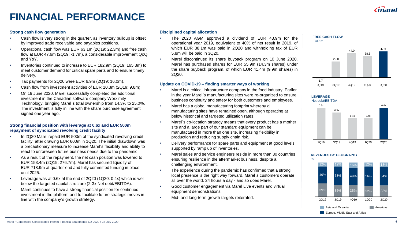

## **FINANCIAL PERFORMANCE**

#### **Strong cash flow generation**

- Cash flow is very strong in the quarter, as inventory buildup is offset by improved trade receivable and payables positions.
- Operational cash flow was EUR 63.1m (2Q19: 22.3m) and free cash flow at EUR 47.6m (2Q19: -1.7m), a considerable improvement QoQ and YoY.
- Inventories continued to increase to EUR 182.9m (2Q19: 165.3m) to meet customer demand for critical spare parts and to ensure timely delivery.
- Tax payments for 2Q20 were EUR 6.9m (2Q19: 16.0m).
- Cash flow from investment activities of EUR 10.3m (2Q19: 9.8m).
- On 19 June 2020, Marel successfully completed the additional investment in the Canadian software company Worximity Technology, bringing Marel´s total ownership from 14.3% to 25.0%. The investment is fully in line with the share purchase agreement signed one year ago.

#### **Strong financial position with leverage at 0.6x and EUR 500m repayment of syndicated revolving credit facility**

- In 2Q20 Marel repaid EUR 500m of the syndicated revolving credit facility, after drawing EUR 600m in 1Q20. The initial drawdown was a precautionary measure to increase Marel´s flexibility and ability to react to unforeseen future business needs due to the pandemic.
- As a result of the repayment, the net cash position was lowered to EUR 153.4m (2Q19: 276.7m). Marel has secured liquidity of EUR 718.9m at quarter-end and fully committed funding in place until 2025.
- Leverage was at 0.6x at the end of 2Q20 (1Q20: 0.4x) which is well below the targeted capital structure (2-3x Net debt/EBITDA).
- Marel continues to have a strong financial position for continued investment in the platform and to facilitate future strategic moves in line with the company´s growth strategy.

#### **Disciplined capital allocation**

- The 2020 AGM approved a dividend of EUR 43.9m for the operational year 2019, equivalent to 40% of net result in 2019, of which EUR 38.1m was paid in 2Q20 and withholding tax of EUR 5.8m will be paid in 3Q20.
- Marel discontinued its share buyback program on 10 June 2020. Marel has purchased shares for EUR 55.9m (14.3m shares) under the share buyback program, of which EUR 41.4m (9.9m shares) in 2Q20.

#### **Update on COVID-19 – finding smarter ways of working**

- Marel is a critical infrastructure company in the food industry. Earlier in the year Marel´s manufacturing sites were re-organized to ensure business continuity and safety for both customers and employees.
- Marel has a global manufacturing footprint whereby all manufacturing sites have remained open, although operating at below historical and targeted utilization rates.
- Marel's co-location strategy means that every product has a mother site and a large part of our standard equipment can be manufactured in more than one site, increasing flexibility in production and reducing supply chain risk.
- Delivery performance for spare parts and equipment at good levels, supported by ramp up of inventories.
- Marel sales and service engineers reside in more than 30 countries ensuring resilience in the aftermarket business, despite a challenging environment.
- The experience during the pandemic has confirmed that a strong local presence is the right way forward. Marel´s customers operate all over the world, 24 hours a day - and so does Marel.
- Good customer engagement via Marel Live events and virtual equipment demonstrations.
- Mid- and long-term growth targets reiterated.



### **LEVERAGE**



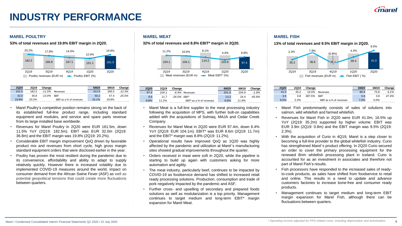### **INDUSTRY PERFORMANCE**

#### **MAREL POULTRY MAREL MEAT MAREL FISH**



| <b>2Q20</b> | <b>2Q19</b> | Change   |                         | 6M20  | 6M19  | Change   |
|-------------|-------------|----------|-------------------------|-------|-------|----------|
| 161.5       | 182.5       | $-11.5%$ | Revenues                | 312.6 | 356.5 | $-12.3%$ |
| 32.0        | 36.8        | -13.0%   | <b>FRIT</b>             | 50.2  | 67.4  | $-25.5%$ |
| 19.8%       | 20.2%       |          | EBIT as a % of revenues | 16.1% | 18.9% |          |

- Marel Poultry's competitive position remains strong on the back of its established full-line product range, including standard equipment and modules, and service and spare parts revenue from its large installed base worldwide.
- Revenues for Marel Poultry in 2Q20 were EUR 161.5m, down 11.5% YoY (2Q19: 182.5m). EBIT was EUR 32.0m (2Q19: 36.8m) and the EBIT margin was 19.8% (2Q19: 20.2%).
- Considerable EBIT margin improvement QoQ driven by favorable product mix and revenues from short cycle, high gross margin standard equipment orders that were disclosed earlier in the year.
- Poultry has proven the most resilient during the pandemic due to its convenience, affordability and ability to adapt to supply relatively quickly. However there is increased volatility due to implemented COVID-19 measures around the world, impact on consumer demand from the African Swine Fever (ASF) as well as potential geopolitical tensions that could create more fluctuations between quarters.



| <b>2Q20</b> | <b>2Q19</b> | Change          |                          | 6M20  | 6M19  | Change  |
|-------------|-------------|-----------------|--------------------------|-------|-------|---------|
| 97.4        | 104.1       |                 | -6.4% Revenues           | 201.0 | 204.9 | $-1.9%$ |
| 8.6         | 11.7        | $-26.5\%$ EBIT* |                          | 13.2  | 24.4  | -45.9%  |
| 8.8%        | 11.2%       |                 | EBIT* as a % of revenues | 6.6%  | 11.9% |         |

- Marel Meat is a full-line supplier to the meat processing industry following the acquisition of MPS, with further bolt-on capabilities added with the acquisitions of Sulmaq, MAJA and Cedar Creek Company.
- Revenues for Marel Meat in 2Q20 were EUR 97.4m, down 6.4% YoY (2Q19: EUR 104.1m). EBIT\* was EUR 8.6m (2Q19: 11.7m) and the EBIT\* margin was 8.8% (2Q19: 11.2%).
- Operational results have improved QoQ as 1Q20 was highly affected by the pandemic and utilization at Marel´s manufacturing sites showed gradual improvements throughout the quarter.
- Orders received in meat were soft in 2Q20, while the pipeline is starting to build up again with customers asking for more automation and agility.
- The meat industry, particularly beef, continues to be impacted by COVID-19 as foodservice demand has shifted to increased retail ready processing solutions. Production, consumption and trade of pork negatively impacted by the pandemic and ASF.
- Further cross- and upselling of secondary and prepared foods solutions as well as modularization is a top priority. Management continues to target medium and long-term EBIT\* margin expansion for Marel Meat.

9.5% **53% of total revenues and 19.8% EBIT margin in 2Q20. 32% of total revenues and 8.8% EBIT\* margin in 2Q20. 13% of total revenues and 9.5% EBIT margin in 2Q20.** 



| <b>2Q20</b> | <b>2Q19</b> | Change |                         | 6M20 | 6M19 | Change |
|-------------|-------------|--------|-------------------------|------|------|--------|
| 41.0        | 35.2        | 16.5%  | Revenues                | 80.4 | 75.8 | 6.1%   |
| 3.9         | 0.8         | 387.5% | <b>EBIT</b>             | 5.6  | 3.8  | 47.4%  |
| 9.5%        | 2.3%        |        | EBIT as a % of revenues | 7.0% | 5.0% |        |
|             |             |        |                         |      |      |        |

- Marel Fish predominantly consists of sales of solutions into salmon, wild whitefish and farmed whitefish.
- Revenues for Marel Fish in 2Q20 were EUR 41.0m, 16.5% up YoY (2Q19: 35.2m) supported by higher volume. EBIT was EUR 3.9m (2Q19: 0.8m) and the EBIT margin was 9.5% (2Q19: 2.3%).
- With the acquisition of Curio in 4Q19, Marel is a step closer to becoming a full-line provider to the global whitefish industry. Curio has strengthened Marel´s product offering. In 2Q20 Curio secured an order to cover the primary processing equipment for the renewed Brim whitefish processing plant in Iceland. Curio is accounted for as an investment in associates and therefore not part of Marel Fish's results.
- Fish processors have responded to the increased sales of readyto-cook products, as sales have shifted from foodservice to retail and online. This results in a need to update and advance customers factories to increase bone-free and consumer ready products.
- Management continues to target medium and long-term EBIT margin expansion for Marel Fish, although there can be fluctuations between quarters.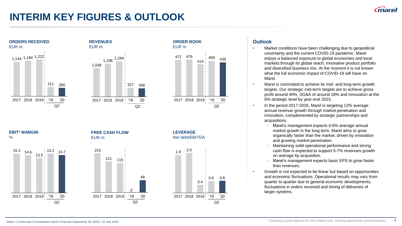**6**

## **INTERIM KEY FIGURES & OUTLOOK**







### **Outlook**

- Market conditions have been challenging due to geopolitical uncertainty and the current COVID-19 pandemic. Marel enjoys a balanced exposure to global economies and local markets through its global reach, innovative product portfolio and diversified business mix. At the moment it is not known what the full economic impact of COVID-19 will have on Marel.
- Marel is committed to achieve its mid- and long-term growth targets. Our strategic mid-term targets are to achieve gross profit around 40%, SG&A of around 18% and Innovation at the 6% strategic level by year-end 2023.
- In the period 2017-2026, Marel is targeting 12% average annual revenue growth through market penetration and innovation, complemented by strategic partnerships and acquisitions.
	- Marel's management expects 4-6% average annual market growth in the long term. Marel aims to grow organically faster than the market, driven by innovation and growing market penetration.
	- Maintaining solid operational performance and strong cash flow is expected to support 5-7% revenues growth on average by acquisition.
	- Marel's management expects basic EPS to grow faster than revenues.
- Growth is not expected to be linear but based on opportunities and economic fluctuations. Operational results may vary from quarter to quarter due to general economic developments, fluctuations in orders received and timing of deliveries of larger systems.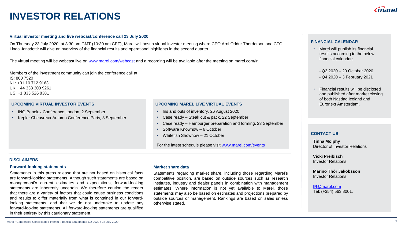## **INVESTOR RELATIONS**

#### **Virtual investor meeting and live webcast/conference call 23 July 2020**

On Thursday 23 July 2020, at 8:30 am GMT (10:30 am CET), Marel will host a virtual investor meeting where CEO Arni Oddur Thordarson and CFO Linda Jonsdottir will give an overview of the financial results and operational highlights in the second quarter.

The virtual meeting will be webcast live on [www.marel.com/webcast](http://www.marel.com/webcast) and a recording will be available after the meeting on marel.com/ir.

Members of the investment community can join the conference call at: IS: 800 7520 NL: +31 10 712 9163 UK: +44 333 300 9261 US: +1 833 526 8381

#### **UPCOMING VIRTUAL INVESTOR EVENTS**

- ING Benelux Conference London, 2 September
- Kepler Cheuvreux Autumn Conference Paris, 8 September

#### **UPCOMING MAREL LIVE VIRTUAL EVENTS**

- Ins and outs of inventory, 26 August 2020
- Case ready Steak cut & pack, 22 September
- Case ready Hamburger preparation and forming, 23 September
- Software Knowhow 6 October
- Whitefish Showhow 21 October

For the latest schedule please visit [www.marel.com/events](http://www.marel.com/events)

#### **DISCLAIMERS**

#### **Forward-looking statements**

Statements in this press release that are not based on historical facts are forward-looking statements. Although such statements are based on management's current estimates and expectations, forward-looking statements are inherently uncertain. We therefore caution the reader that there are a variety of factors that could cause business conditions and results to differ materially from what is contained in our forwardlooking statements, and that we do not undertake to update any forward-looking statements. All forward-looking statements are qualified in their entirety by this cautionary statement.

#### **Market share data**

Statements regarding market share, including those regarding Marel's competitive position, are based on outside sources such as research institutes, industry and dealer panels in combination with management estimates. Where information is not yet available to Marel, those statements may also be based on estimates and projections prepared by outside sources or management. Rankings are based on sales unless otherwise stated.

#### **FINANCIAL CALENDAR**

- Marel will publish its financial results according to the below financial calendar:
- Q3 2020 20 October 2020
- Q4 2020 3 February 2021
- Financial results will be disclosed and published after market closing of both Nasdaq Iceland and Euronext Amsterdam.

#### **CONTACT US**

**Tinna Molphy** Director of Investor Relations

**Vicki Preibisch** Investor Relations

**Marinó Thór Jakobsson** Investor Relations

[IR@marel.com](mailto:IR@marel.com) Tel: (+354) 563 8001.